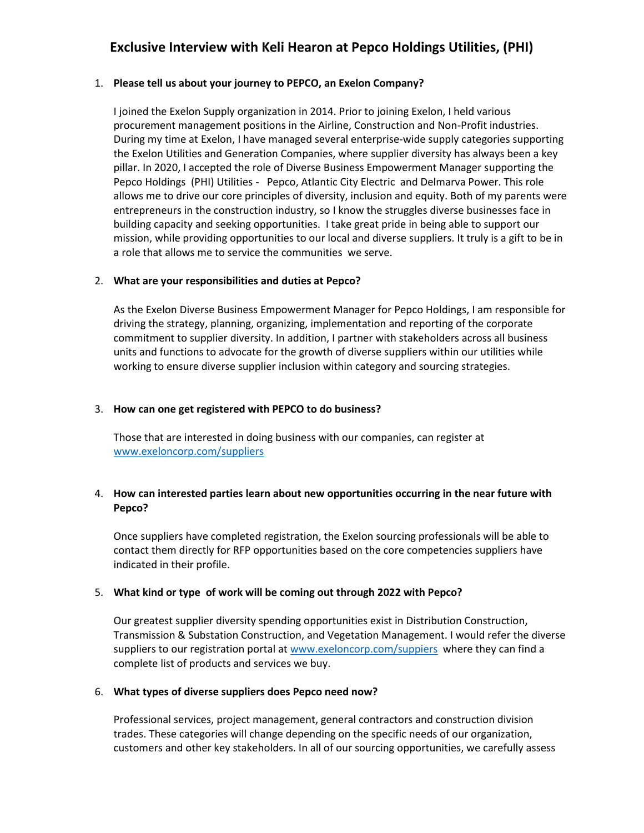## **Exclusive Interview with Keli Hearon at Pepco Holdings Utilities, (PHI)**

## 1. **Please tell us about your journey to PEPCO, an Exelon Company?**

I joined the Exelon Supply organization in 2014. Prior to joining Exelon, I held various procurement management positions in the Airline, Construction and Non-Profit industries. During my time at Exelon, I have managed several enterprise-wide supply categories supporting the Exelon Utilities and Generation Companies, where supplier diversity has always been a key pillar. In 2020, I accepted the role of Diverse Business Empowerment Manager supporting the Pepco Holdings (PHI) Utilities - Pepco, Atlantic City Electric and Delmarva Power. This role allows me to drive our core principles of diversity, inclusion and equity. Both of my parents were entrepreneurs in the construction industry, so I know the struggles diverse businesses face in building capacity and seeking opportunities. I take great pride in being able to support our mission, while providing opportunities to our local and diverse suppliers. It truly is a gift to be in a role that allows me to service the communities we serve.

## 2. **What are your responsibilities and duties at Pepco?**

As the Exelon Diverse Business Empowerment Manager for Pepco Holdings, I am responsible for driving the strategy, planning, organizing, implementation and reporting of the corporate commitment to supplier diversity. In addition, I partner with stakeholders across all business units and functions to advocate for the growth of diverse suppliers within our utilities while working to ensure diverse supplier inclusion within category and sourcing strategies.

## 3. **How can one get registered with PEPCO to do business?**

Those that are interested in doing business with our companies, can register at [www.exeloncorp.com/suppliers](http://www.exeloncorp.com/suppliers)

## 4. **How can interested parties learn about new opportunities occurring in the near future with Pepco?**

Once suppliers have completed registration, the Exelon sourcing professionals will be able to contact them directly for RFP opportunities based on the core competencies suppliers have indicated in their profile.

## 5. **What kind or type of work will be coming out through 2022 with Pepco?**

Our greatest supplier diversity spending opportunities exist in Distribution Construction, Transmission & Substation Construction, and Vegetation Management. I would refer the diverse suppliers to our registration portal at [www.exeloncorp.com/suppiers](http://www.exeloncorp.com/suppiers) where they can find a complete list of products and services we buy.

## 6. **What types of diverse suppliers does Pepco need now?**

Professional services, project management, general contractors and construction division trades. These categories will change depending on the specific needs of our organization, customers and other key stakeholders. In all of our sourcing opportunities, we carefully assess